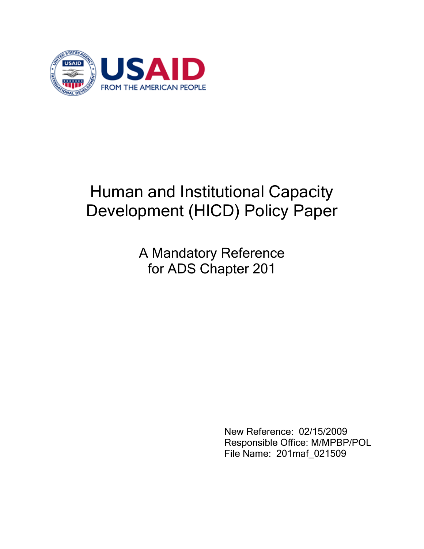

# Human and Institutional Capacity Development (HICD) Policy Paper

A Mandatory Reference for ADS Chapter 201

> New Reference: 02/15/2009 Responsible Office: M/MPBP/POL File Name: 201maf\_021509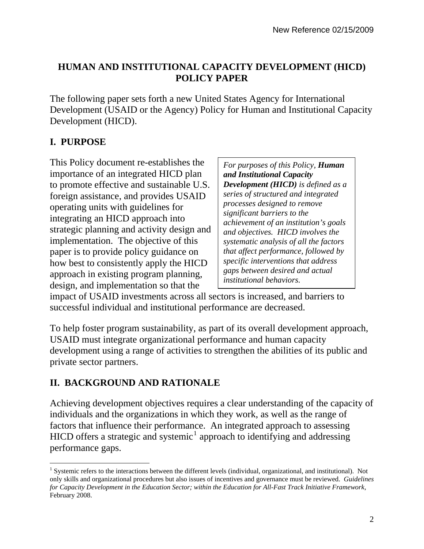#### **HUMAN AND INSTITUTIONAL CAPACITY DEVELOPMENT (HICD) POLICY PAPER**

The following paper sets forth a new United States Agency for International Development (USAID or the Agency) Policy for Human and Institutional Capacity Development (HICD).

### **I. PURPOSE**

 $\overline{a}$ 

This Policy document re-establishes the importance of an integrated HICD plan to promote effective and sustainable U.S. foreign assistance, and provides USAID operating units with guidelines for integrating an HICD approach into strategic planning and activity design and implementation. The objective of this paper is to provide policy guidance on how best to consistently apply the HICD approach in existing program planning, design, and implementation so that the

*For purposes of this Policy, Human and Institutional Capacity Development (HICD) is defined as a series of structured and integrated processes designed to remove significant barriers to the achievement of an institution's goals and objectives. HICD involves the systematic analysis of all the factors that affect performance, followed by specific interventions that address gaps between desired and actual institutional behaviors.* 

impact of USAID investments across all sectors is increased, and barriers to successful individual and institutional performance are decreased.

To help foster program sustainability, as part of its overall development approach, USAID must integrate organizational performance and human capacity development using a range of activities to strengthen the abilities of its public and private sector partners.

#### **II. BACKGROUND AND RATIONALE**

Achieving development objectives requires a clear understanding of the capacity of individuals and the organizations in which they work, as well as the range of factors that influence their performance. An integrated approach to assessing HICD offers a strategic and systemic<sup>[1](#page-1-0)</sup> approach to identifying and addressing performance gaps.

<span id="page-1-0"></span> $<sup>1</sup>$  Systemic refers to the interactions between the different levels (individual, organizational, and institutional). Not</sup> only skills and organizational procedures but also issues of incentives and governance must be reviewed. *Guidelines for Capacity Development in the Education Sector; within the Education for All-Fast Track Initiative Framework*, February 2008.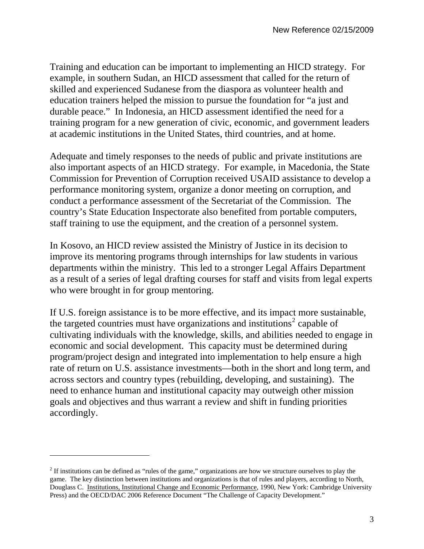Training and education can be important to implementing an HICD strategy. For example, in southern Sudan, an HICD assessment that called for the return of skilled and experienced Sudanese from the diaspora as volunteer health and education trainers helped the mission to pursue the foundation for "a just and durable peace." In Indonesia, an HICD assessment identified the need for a training program for a new generation of civic, economic, and government leaders at academic institutions in the United States, third countries, and at home.

Adequate and timely responses to the needs of public and private institutions are also important aspects of an HICD strategy. For example, in Macedonia, the State Commission for Prevention of Corruption received USAID assistance to develop a performance monitoring system, organize a donor meeting on corruption, and conduct a performance assessment of the Secretariat of the Commission. The country's State Education Inspectorate also benefited from portable computers, staff training to use the equipment, and the creation of a personnel system.

In Kosovo, an HICD review assisted the Ministry of Justice in its decision to improve its mentoring programs through internships for law students in various departments within the ministry. This led to a stronger Legal Affairs Department as a result of a series of legal drafting courses for staff and visits from legal experts who were brought in for group mentoring.

If U.S. foreign assistance is to be more effective, and its impact more sustainable, the targeted countries must have organizations and institutions<sup>[2](#page-2-0)</sup> capable of cultivating individuals with the knowledge, skills, and abilities needed to engage in economic and social development. This capacity must be determined during program/project design and integrated into implementation to help ensure a high rate of return on U.S. assistance investments—both in the short and long term, and across sectors and country types (rebuilding, developing, and sustaining). The need to enhance human and institutional capacity may outweigh other mission goals and objectives and thus warrant a review and shift in funding priorities accordingly.

 $\overline{a}$ 

<span id="page-2-0"></span> $2<sup>2</sup>$  If institutions can be defined as "rules of the game," organizations are how we structure ourselves to play the game. The key distinction between institutions and organizations is that of rules and players, according to North, Douglass C. Institutions, Institutional Change and Economic Performance, 1990, New York: Cambridge University Press) and the OECD/DAC 2006 Reference Document "The Challenge of Capacity Development."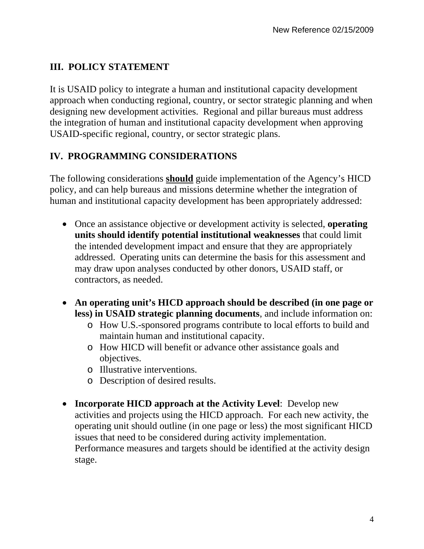#### **III. POLICY STATEMENT**

It is USAID policy to integrate a human and institutional capacity development approach when conducting regional, country, or sector strategic planning and when designing new development activities. Regional and pillar bureaus must address the integration of human and institutional capacity development when approving USAID-specific regional, country, or sector strategic plans.

#### **IV. PROGRAMMING CONSIDERATIONS**

The following considerations **should** guide implementation of the Agency's HICD policy, and can help bureaus and missions determine whether the integration of human and institutional capacity development has been appropriately addressed:

- Once an assistance objective or development activity is selected, **operating units should identify potential institutional weaknesses** that could limit the intended development impact and ensure that they are appropriately addressed. Operating units can determine the basis for this assessment and may draw upon analyses conducted by other donors, USAID staff, or contractors, as needed.
- **An operating unit's HICD approach should be described (in one page or less) in USAID strategic planning documents**, and include information on:
	- o How U.S.-sponsored programs contribute to local efforts to build and maintain human and institutional capacity.
	- o How HICD will benefit or advance other assistance goals and objectives.
	- o Illustrative interventions.
	- o Description of desired results.
- **Incorporate HICD approach at the Activity Level**: Develop new activities and projects using the HICD approach. For each new activity, the operating unit should outline (in one page or less) the most significant HICD issues that need to be considered during activity implementation. Performance measures and targets should be identified at the activity design stage.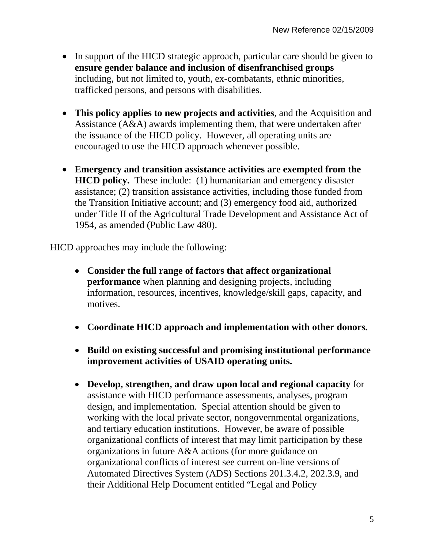- In support of the HICD strategic approach, particular care should be given to **ensure gender balance and inclusion of disenfranchised groups** including, but not limited to, youth, ex-combatants, ethnic minorities, trafficked persons, and persons with disabilities.
- **This policy applies to new projects and activities**, and the Acquisition and Assistance (A&A) awards implementing them, that were undertaken after the issuance of the HICD policy. However, all operating units are encouraged to use the HICD approach whenever possible.
- **Emergency and transition assistance activities are exempted from the HICD policy.** These include: (1) humanitarian and emergency disaster assistance; (2) transition assistance activities, including those funded from the Transition Initiative account; and (3) emergency food aid, authorized under Title II of the Agricultural Trade Development and Assistance Act of 1954, as amended (Public Law 480).

HICD approaches may include the following:

- **Consider the full range of factors that affect organizational performance** when planning and designing projects, including information, resources, incentives, knowledge/skill gaps, capacity, and motives.
- **Coordinate HICD approach and implementation with other donors.**
- **Build on existing successful and promising institutional performance improvement activities of USAID operating units.**
- **Develop, strengthen, and draw upon local and regional capacity** for assistance with HICD performance assessments, analyses, program design, and implementation. Special attention should be given to working with the local private sector, nongovernmental organizations, and tertiary education institutions. However, be aware of possible organizational conflicts of interest that may limit participation by these organizations in future A&A actions (for more guidance on organizational conflicts of interest see current on-line versions of Automated Directives System (ADS) Sections 201.3.4.2, 202.3.9, and their Additional Help Document entitled "Legal and Policy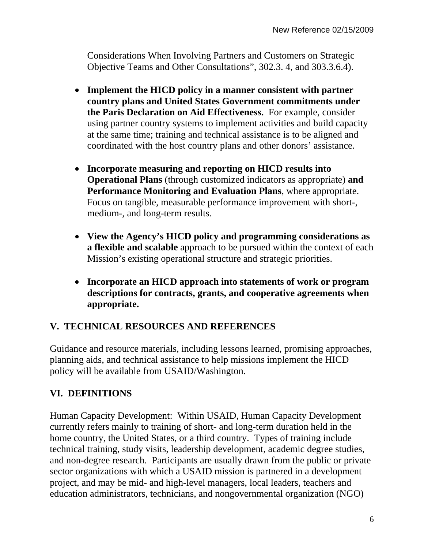Considerations When Involving Partners and Customers on Strategic Objective Teams and Other Consultations", 302.3. 4, and 303.3.6.4).

- **Implement the HICD policy in a manner consistent with partner country plans and United States Government commitments under the Paris Declaration on Aid Effectiveness.** For example, consider using partner country systems to implement activities and build capacity at the same time; training and technical assistance is to be aligned and coordinated with the host country plans and other donors' assistance.
- **Incorporate measuring and reporting on HICD results into Operational Plans** (through customized indicators as appropriate) **and Performance Monitoring and Evaluation Plans**, where appropriate. Focus on tangible, measurable performance improvement with short-, medium-, and long-term results.
- **View the Agency's HICD policy and programming considerations as a flexible and scalable** approach to be pursued within the context of each Mission's existing operational structure and strategic priorities.
- **Incorporate an HICD approach into statements of work or program descriptions for contracts, grants, and cooperative agreements when appropriate.**

## **V. TECHNICAL RESOURCES AND REFERENCES**

Guidance and resource materials, including lessons learned, promising approaches, planning aids, and technical assistance to help missions implement the HICD policy will be available from USAID/Washington.

## **VI. DEFINITIONS**

Human Capacity Development: Within USAID, Human Capacity Development currently refers mainly to training of short- and long-term duration held in the home country, the United States, or a third country. Types of training include technical training, study visits, leadership development, academic degree studies, and non-degree research. Participants are usually drawn from the public or private sector organizations with which a USAID mission is partnered in a development project, and may be mid- and high-level managers, local leaders, teachers and education administrators, technicians, and nongovernmental organization (NGO)